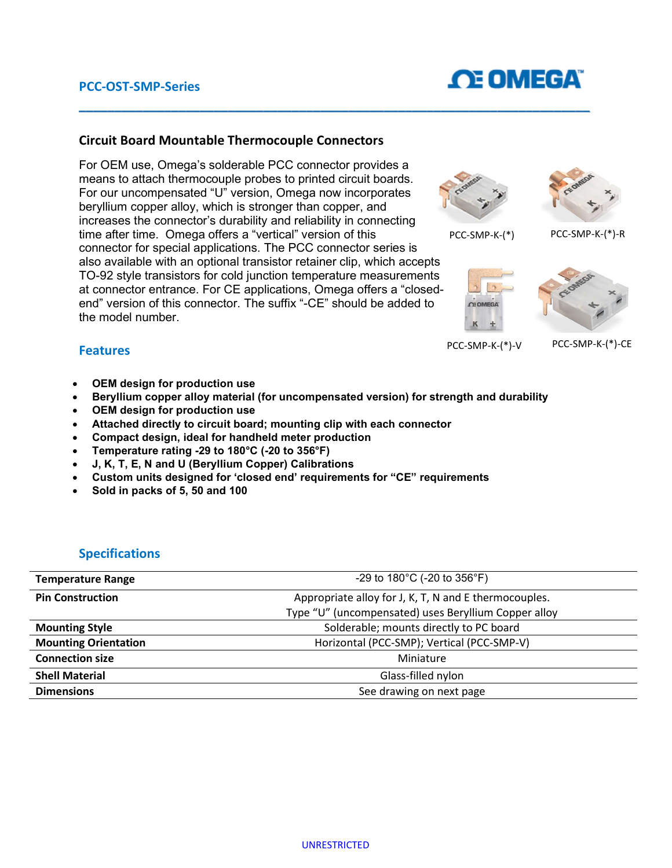# **OE OMEGA**

### Circuit Board Mountable Thermocouple Connectors

For OEM use, Omega's solderable PCC connector provides a means to attach thermocouple probes to printed circuit boards. For our uncompensated "U" version, Omega now incorporates beryllium copper alloy, which is stronger than copper, and increases the connector's durability and reliability in connecting time after time. Omega offers a "vertical" version of this connector for special applications. The PCC connector series is also available with an optional transistor retainer clip, which accepts TO-92 style transistors for cold junction temperature measurements at connector entrance. For CE applications, Omega offers a "closedend" version of this connector. The suffix "-CE" should be added to the model number.





PCC-SMP-K-(\*) PCC-SMP-K-(\*)-R





PCC-SMP-K-(\*)-V PCC-SMP-K-(\*)-CE

#### Features

- OEM design for production use
- Beryllium copper alloy material (for uncompensated version) for strength and durability

 $\_$  ,  $\_$  ,  $\_$  ,  $\_$  ,  $\_$  ,  $\_$  ,  $\_$  ,  $\_$  ,  $\_$  ,  $\_$  ,  $\_$  ,  $\_$  ,  $\_$  ,  $\_$  ,  $\_$  ,  $\_$  ,  $\_$  ,  $\_$  ,  $\_$  ,  $\_$  ,  $\_$  ,  $\_$  ,  $\_$  ,  $\_$  ,  $\_$  ,  $\_$  ,  $\_$  ,  $\_$  ,  $\_$  ,  $\_$  ,  $\_$  ,  $\_$  ,  $\_$  ,  $\_$  ,  $\_$  ,  $\_$  ,  $\_$  ,

- OEM design for production use
- Attached directly to circuit board; mounting clip with each connector
- Compact design, ideal for handheld meter production
- Temperature rating -29 to 180°C (-20 to 356°F)
- J, K, T, E, N and U (Beryllium Copper) Calibrations
- Custom units designed for 'closed end' requirements for "CE" requirements
- Sold in packs of 5, 50 and 100

### Specifications

| <b>Temperature Range</b>    | -29 to $180^{\circ}$ C (-20 to $356^{\circ}$ F)       |  |
|-----------------------------|-------------------------------------------------------|--|
| <b>Pin Construction</b>     | Appropriate alloy for J, K, T, N and E thermocouples. |  |
|                             | Type "U" (uncompensated) uses Beryllium Copper alloy  |  |
| <b>Mounting Style</b>       | Solderable; mounts directly to PC board               |  |
| <b>Mounting Orientation</b> | Horizontal (PCC-SMP); Vertical (PCC-SMP-V)            |  |
| <b>Connection size</b>      | Miniature                                             |  |
| <b>Shell Material</b>       | Glass-filled nylon                                    |  |
| <b>Dimensions</b>           | See drawing on next page                              |  |
|                             |                                                       |  |